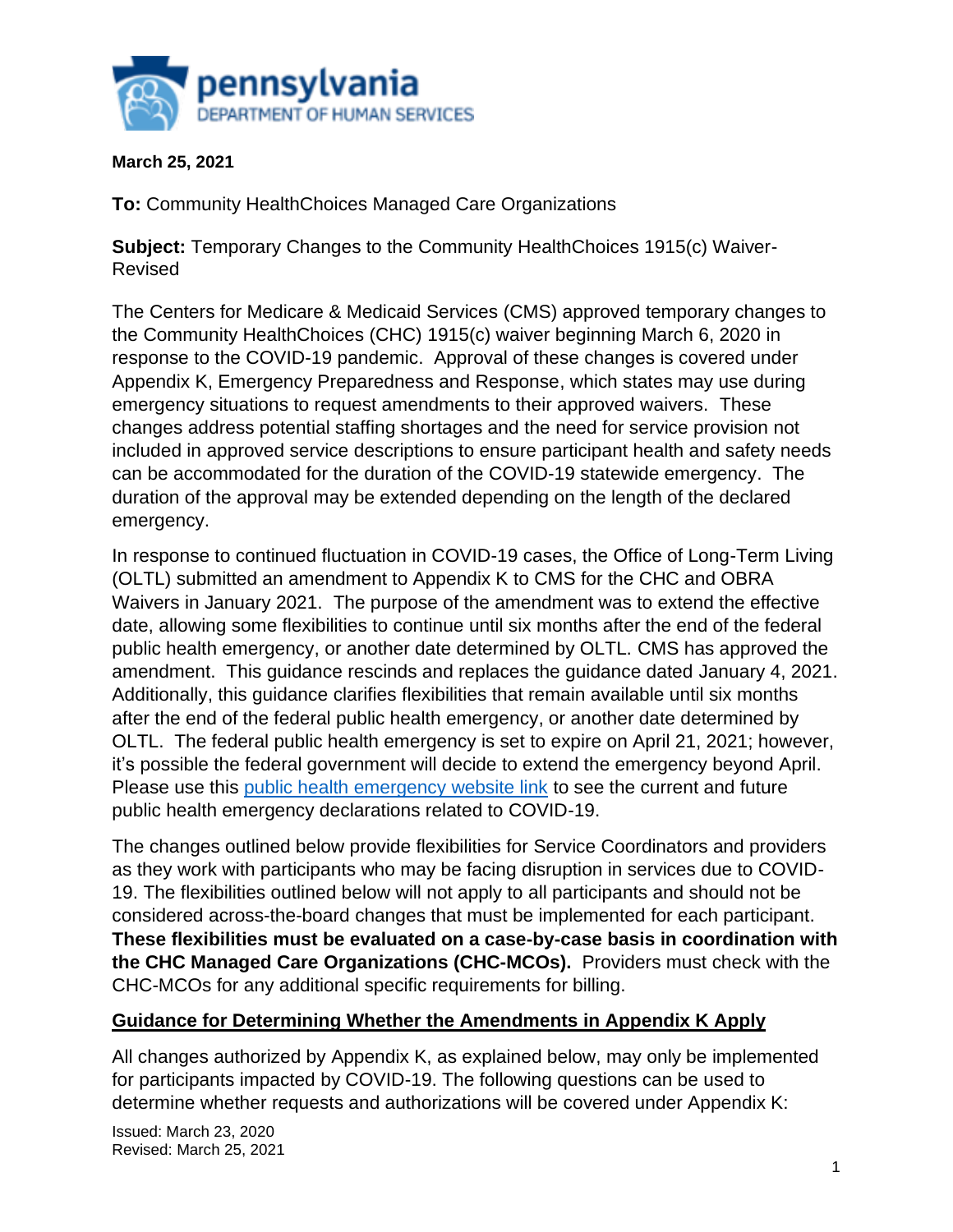

### **March 25, 2021**

**To:** Community HealthChoices Managed Care Organizations

**Subject:** Temporary Changes to the Community HealthChoices 1915(c) Waiver-Revised

The Centers for Medicare & Medicaid Services (CMS) approved temporary changes to the Community HealthChoices (CHC) 1915(c) waiver beginning March 6, 2020 in response to the COVID-19 pandemic. Approval of these changes is covered under Appendix K, Emergency Preparedness and Response, which states may use during emergency situations to request amendments to their approved waivers. These changes address potential staffing shortages and the need for service provision not included in approved service descriptions to ensure participant health and safety needs can be accommodated for the duration of the COVID-19 statewide emergency. The duration of the approval may be extended depending on the length of the declared emergency.

In response to continued fluctuation in COVID-19 cases, the Office of Long-Term Living (OLTL) submitted an amendment to Appendix K to CMS for the CHC and OBRA Waivers in January 2021. The purpose of the amendment was to extend the effective date, allowing some flexibilities to continue until six months after the end of the federal public health emergency, or another date determined by OLTL. CMS has approved the amendment. This guidance rescinds and replaces the guidance dated January 4, 2021. Additionally, this guidance clarifies flexibilities that remain available until six months after the end of the federal public health emergency, or another date determined by OLTL. The federal public health emergency is set to expire on April 21, 2021; however, it's possible the federal government will decide to extend the emergency beyond April. Please use this [public health emergency website link](https://www.phe.gov/emergency/news/healthactions/phe/Pages/default.aspx) to see the current and future public health emergency declarations related to COVID-19.

The changes outlined below provide flexibilities for Service Coordinators and providers as they work with participants who may be facing disruption in services due to COVID-19. The flexibilities outlined below will not apply to all participants and should not be considered across-the-board changes that must be implemented for each participant. **These flexibilities must be evaluated on a case-by-case basis in coordination with the CHC Managed Care Organizations (CHC-MCOs).** Providers must check with the CHC-MCOs for any additional specific requirements for billing.

## **Guidance for Determining Whether the Amendments in Appendix K Apply**

All changes authorized by Appendix K, as explained below, may only be implemented for participants impacted by COVID-19. The following questions can be used to determine whether requests and authorizations will be covered under Appendix K: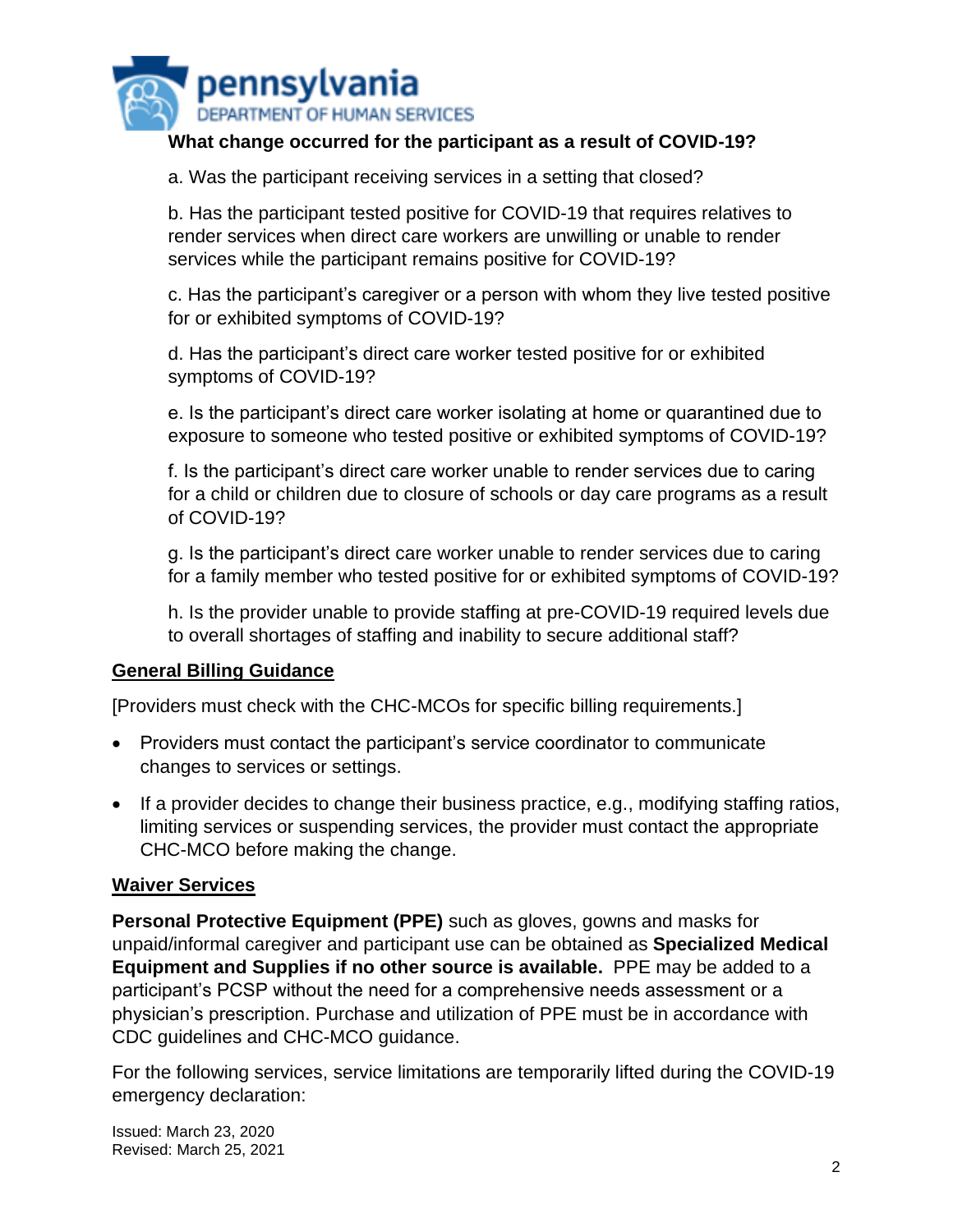

## **What change occurred for the participant as a result of COVID-19?**

a. Was the participant receiving services in a setting that closed?

b. Has the participant tested positive for COVID-19 that requires relatives to render services when direct care workers are unwilling or unable to render services while the participant remains positive for COVID-19?

c. Has the participant's caregiver or a person with whom they live tested positive for or exhibited symptoms of COVID-19?

d. Has the participant's direct care worker tested positive for or exhibited symptoms of COVID-19?

e. Is the participant's direct care worker isolating at home or quarantined due to exposure to someone who tested positive or exhibited symptoms of COVID-19?

f. Is the participant's direct care worker unable to render services due to caring for a child or children due to closure of schools or day care programs as a result of COVID-19?

g. Is the participant's direct care worker unable to render services due to caring for a family member who tested positive for or exhibited symptoms of COVID-19?

h. Is the provider unable to provide staffing at pre-COVID-19 required levels due to overall shortages of staffing and inability to secure additional staff?

#### **General Billing Guidance**

[Providers must check with the CHC-MCOs for specific billing requirements.]

- Providers must contact the participant's service coordinator to communicate changes to services or settings.
- If a provider decides to change their business practice, e.g., modifying staffing ratios, limiting services or suspending services, the provider must contact the appropriate CHC-MCO before making the change.

#### **Waiver Services**

**Personal Protective Equipment (PPE)** such as gloves, gowns and masks for unpaid/informal caregiver and participant use can be obtained as **Specialized Medical Equipment and Supplies if no other source is available.** PPE may be added to a participant's PCSP without the need for a comprehensive needs assessment or a physician's prescription. Purchase and utilization of PPE must be in accordance with CDC guidelines and CHC-MCO guidance.

For the following services, service limitations are temporarily lifted during the COVID-19 emergency declaration: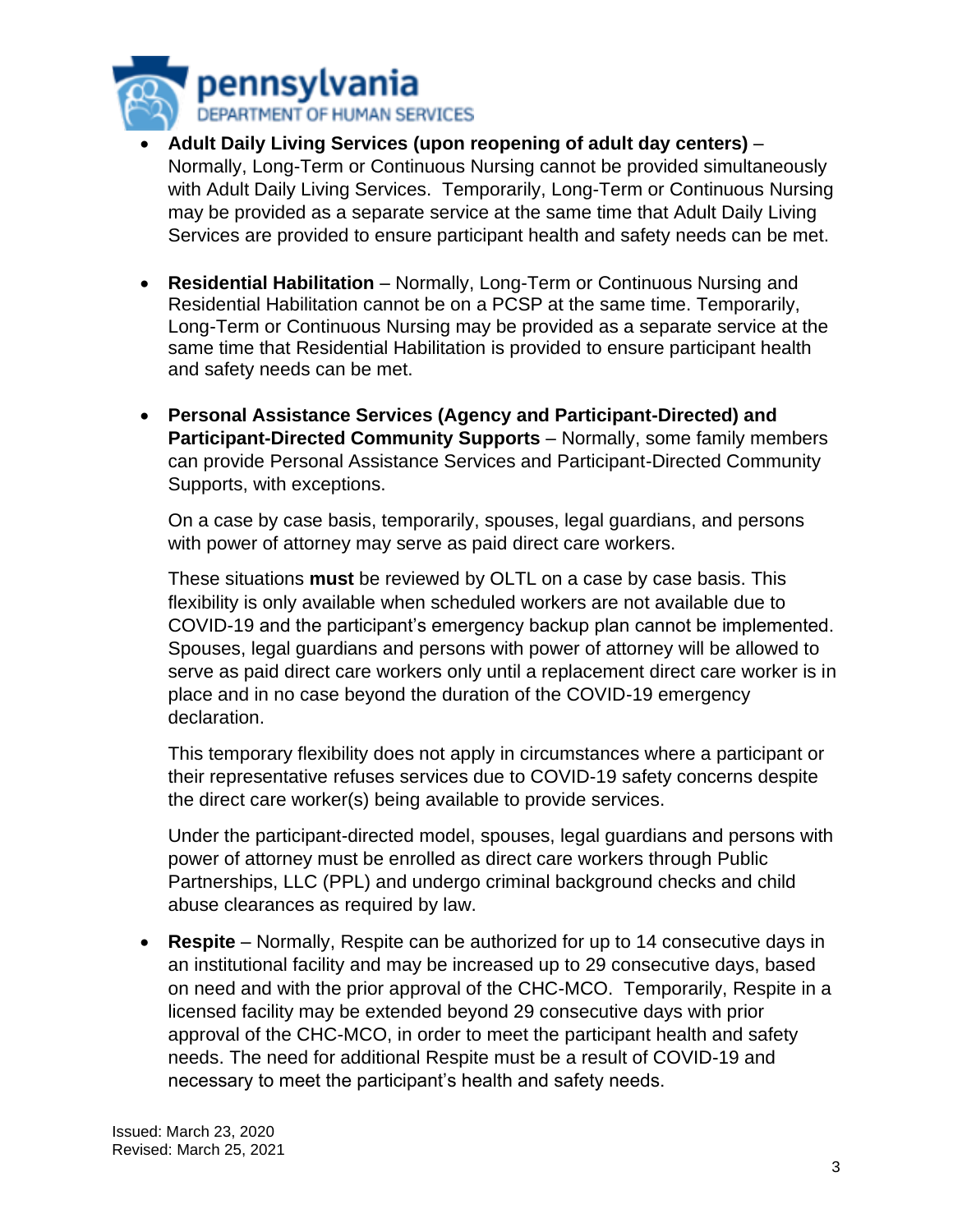

- **Adult Daily Living Services (upon reopening of adult day centers)** Normally, Long-Term or Continuous Nursing cannot be provided simultaneously with Adult Daily Living Services. Temporarily, Long-Term or Continuous Nursing may be provided as a separate service at the same time that Adult Daily Living Services are provided to ensure participant health and safety needs can be met.
- **Residential Habilitation** Normally, Long-Term or Continuous Nursing and Residential Habilitation cannot be on a PCSP at the same time. Temporarily, Long-Term or Continuous Nursing may be provided as a separate service at the same time that Residential Habilitation is provided to ensure participant health and safety needs can be met.
- **Personal Assistance Services (Agency and Participant-Directed) and Participant-Directed Community Supports** – Normally, some family members can provide Personal Assistance Services and Participant-Directed Community Supports, with exceptions.

On a case by case basis, temporarily, spouses, legal guardians, and persons with power of attorney may serve as paid direct care workers.

These situations **must** be reviewed by OLTL on a case by case basis. This flexibility is only available when scheduled workers are not available due to COVID-19 and the participant's emergency backup plan cannot be implemented. Spouses, legal guardians and persons with power of attorney will be allowed to serve as paid direct care workers only until a replacement direct care worker is in place and in no case beyond the duration of the COVID-19 emergency declaration.

This temporary flexibility does not apply in circumstances where a participant or their representative refuses services due to COVID-19 safety concerns despite the direct care worker(s) being available to provide services.

Under the participant-directed model, spouses, legal guardians and persons with power of attorney must be enrolled as direct care workers through Public Partnerships, LLC (PPL) and undergo criminal background checks and child abuse clearances as required by law.

• **Respite** – Normally, Respite can be authorized for up to 14 consecutive days in an institutional facility and may be increased up to 29 consecutive days, based on need and with the prior approval of the CHC-MCO. Temporarily, Respite in a licensed facility may be extended beyond 29 consecutive days with prior approval of the CHC-MCO, in order to meet the participant health and safety needs. The need for additional Respite must be a result of COVID-19 and necessary to meet the participant's health and safety needs.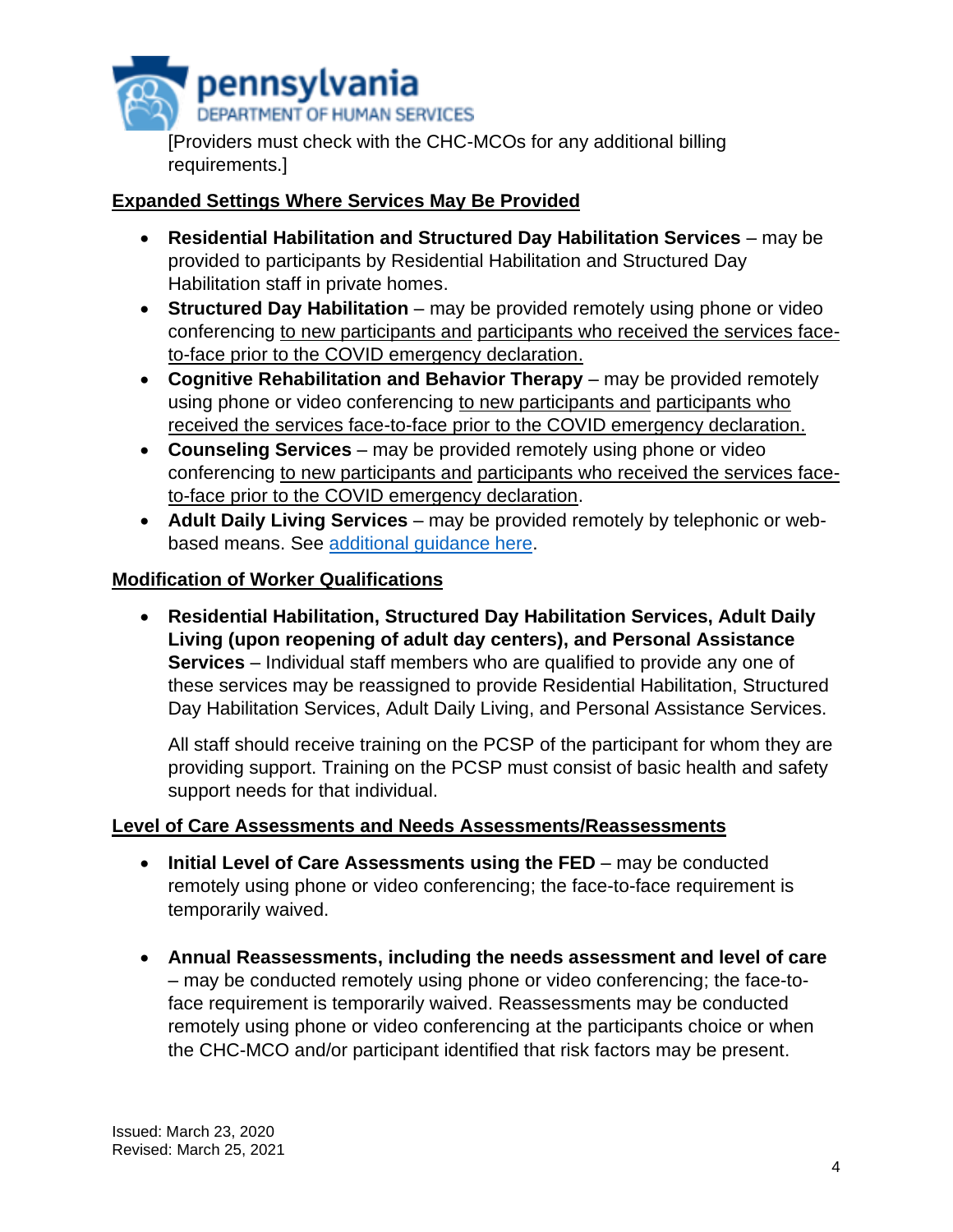

[Providers must check with the CHC-MCOs for any additional billing requirements.]

# **Expanded Settings Where Services May Be Provided**

- **Residential Habilitation and Structured Day Habilitation Services** may be provided to participants by Residential Habilitation and Structured Day Habilitation staff in private homes.
- **Structured Day Habilitation** may be provided remotely using phone or video conferencing to new participants and participants who received the services faceto-face prior to the COVID emergency declaration.
- **Cognitive Rehabilitation and Behavior Therapy** may be provided remotely using phone or video conferencing to new participants and participants who received the services face-to-face prior to the COVID emergency declaration.
- **Counseling Services** may be provided remotely using phone or video conferencing to new participants and participants who received the services faceto-face prior to the COVID emergency declaration.
- **Adult Daily Living Services** may be provided remotely by telephonic or webbased means. See [additional guidance here.](https://www.dhs.pa.gov/coronavirus/Pages/OLTL-ADL-Delivering-Telephonic-or-Remote-Services.aspx)

## **Modification of Worker Qualifications**

• **Residential Habilitation, Structured Day Habilitation Services, Adult Daily Living (upon reopening of adult day centers), and Personal Assistance Services** – Individual staff members who are qualified to provide any one of these services may be reassigned to provide Residential Habilitation, Structured Day Habilitation Services, Adult Daily Living, and Personal Assistance Services.

All staff should receive training on the PCSP of the participant for whom they are providing support. Training on the PCSP must consist of basic health and safety support needs for that individual.

## **Level of Care Assessments and Needs Assessments/Reassessments**

- **Initial Level of Care Assessments using the FED** may be conducted remotely using phone or video conferencing; the face-to-face requirement is temporarily waived.
- **Annual Reassessments, including the needs assessment and level of care** – may be conducted remotely using phone or video conferencing; the face-toface requirement is temporarily waived. Reassessments may be conducted remotely using phone or video conferencing at the participants choice or when the CHC-MCO and/or participant identified that risk factors may be present.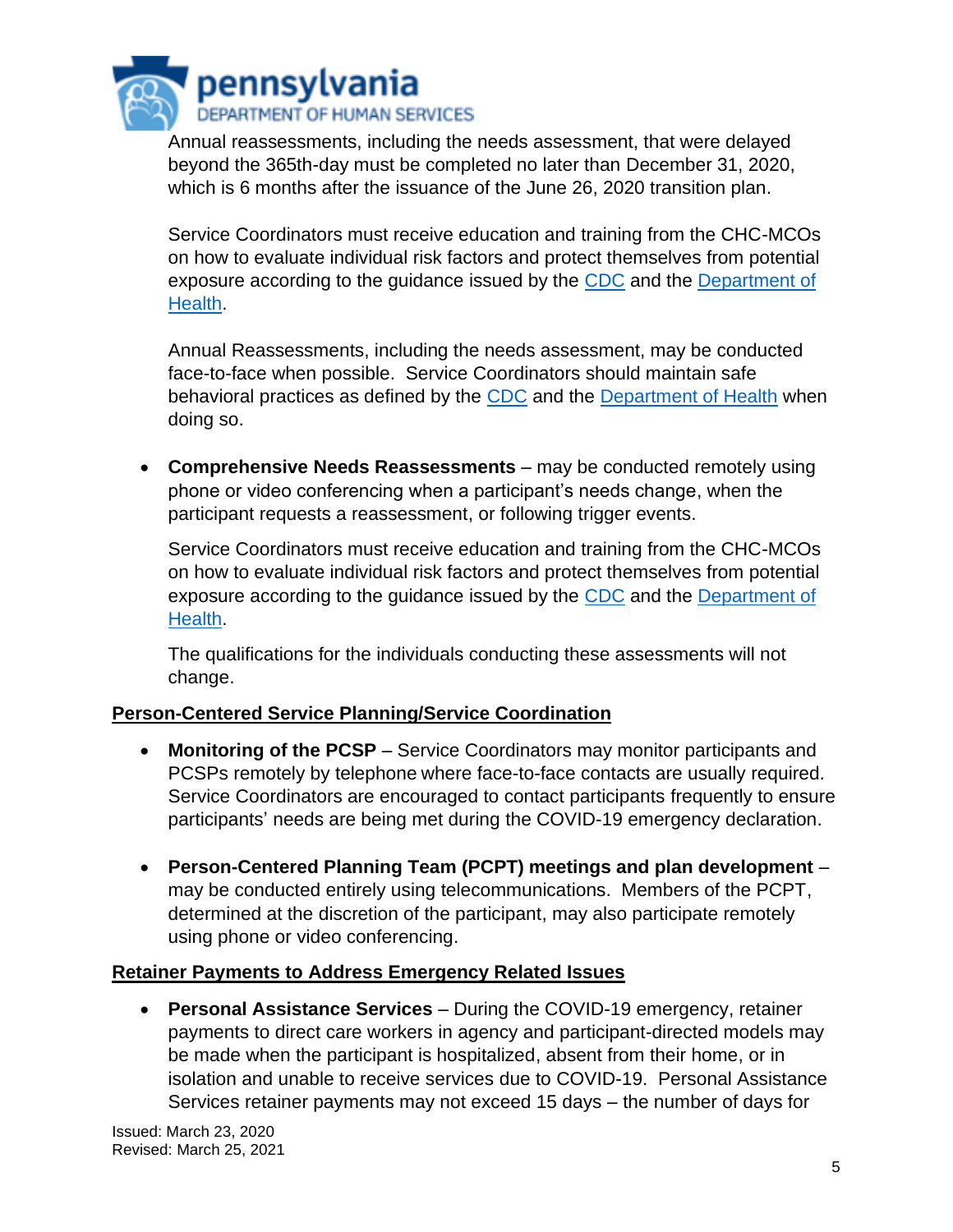

Annual reassessments, including the needs assessment, that were delayed beyond the 365th-day must be completed no later than December 31, 2020, which is 6 months after the issuance of the June 26, 2020 transition plan.

Service Coordinators must receive education and training from the CHC-MCOs on how to evaluate individual risk factors and protect themselves from potential exposure according to the guidance issued by the [CDC](https://www.cdc.gov/coronavirus/2019-ncov/index.html) and the Department of [Health.](https://www.health.pa.gov/topics/disease/coronavirus/Pages/Fact-Sheets.aspx)

Annual Reassessments, including the needs assessment, may be conducted face-to-face when possible. Service Coordinators should maintain safe behavioral practices as defined by the [CDC](https://www.cdc.gov/coronavirus/2019-ncov/index.html) and the [Department of](https://www.health.pa.gov/topics/disease/coronavirus/Pages/Fact-Sheets.aspx) Health when doing so.

• **Comprehensive Needs Reassessments** – may be conducted remotely using phone or video conferencing when a participant's needs change, when the participant requests a reassessment, or following trigger events.

Service Coordinators must receive education and training from the CHC-MCOs on how to evaluate individual risk factors and protect themselves from potential exposure according to the guidance issued by the [CDC](https://www.cdc.gov/coronavirus/2019-ncov/index.html) and the [Department of](https://www.health.pa.gov/topics/disease/coronavirus/Pages/Fact-Sheets.aspx)  [Health.](https://www.health.pa.gov/topics/disease/coronavirus/Pages/Fact-Sheets.aspx)

The qualifications for the individuals conducting these assessments will not change.

## **Person-Centered Service Planning/Service Coordination**

- **Monitoring of the PCSP** Service Coordinators may monitor participants and PCSPs remotely by telephone where face-to-face contacts are usually required. Service Coordinators are encouraged to contact participants frequently to ensure participants' needs are being met during the COVID-19 emergency declaration.
- **Person-Centered Planning Team (PCPT) meetings and plan development** may be conducted entirely using telecommunications. Members of the PCPT, determined at the discretion of the participant, may also participate remotely using phone or video conferencing.

## **Retainer Payments to Address Emergency Related Issues**

• **Personal Assistance Services** – During the COVID-19 emergency, retainer payments to direct care workers in agency and participant-directed models may be made when the participant is hospitalized, absent from their home, or in isolation and unable to receive services due to COVID-19. Personal Assistance Services retainer payments may not exceed 15 days – the number of days for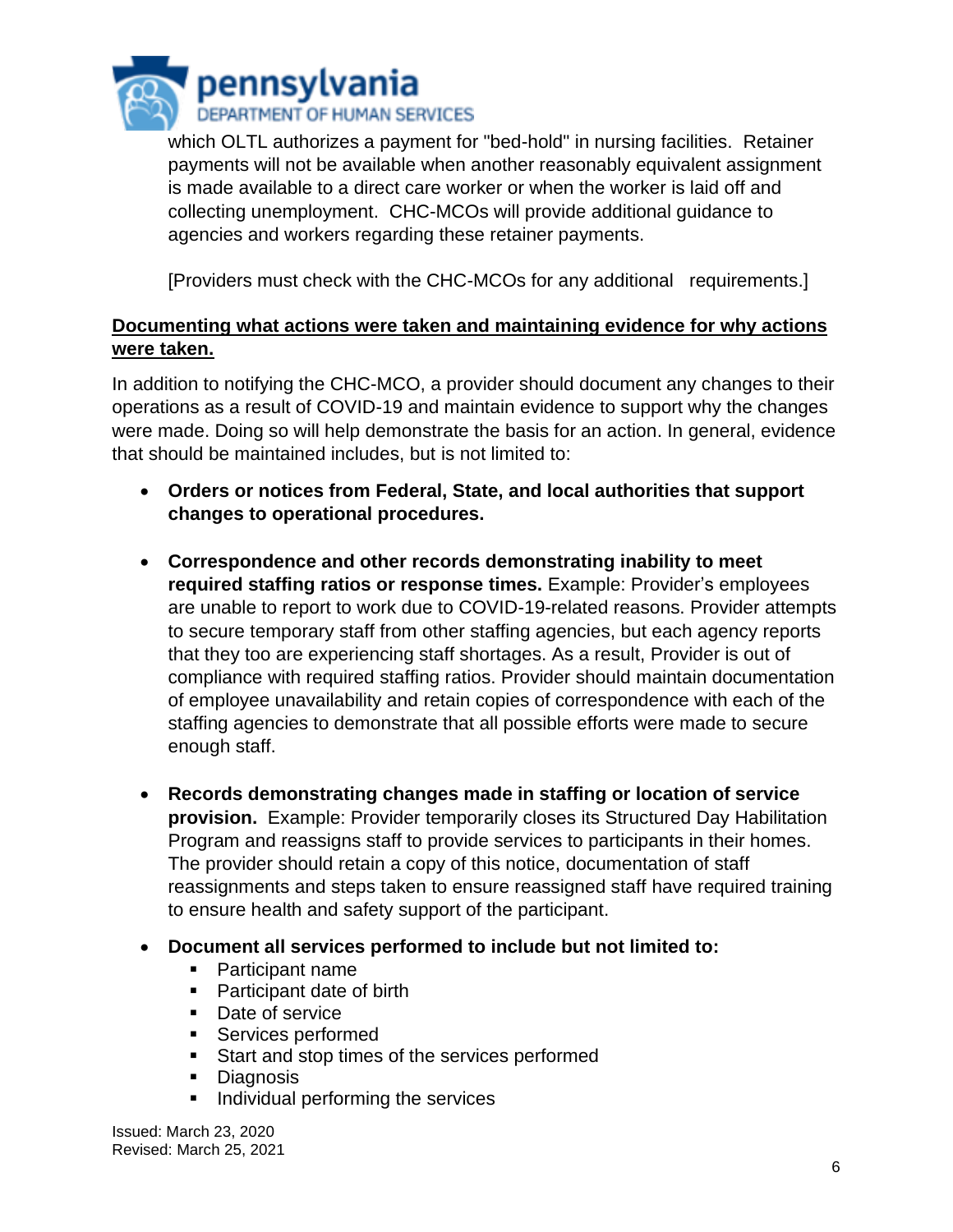

which OLTL authorizes a payment for "bed-hold" in nursing facilities. Retainer payments will not be available when another reasonably equivalent assignment is made available to a direct care worker or when the worker is laid off and collecting unemployment. CHC-MCOs will provide additional guidance to agencies and workers regarding these retainer payments.

[Providers must check with the CHC-MCOs for any additional requirements.]

## **Documenting what actions were taken and maintaining evidence for why actions were taken.**

In addition to notifying the CHC-MCO, a provider should document any changes to their operations as a result of COVID-19 and maintain evidence to support why the changes were made. Doing so will help demonstrate the basis for an action. In general, evidence that should be maintained includes, but is not limited to:

- **Orders or notices from Federal, State, and local authorities that support changes to operational procedures.**
- **Correspondence and other records demonstrating inability to meet required staffing ratios or response times.** Example: Provider's employees are unable to report to work due to COVID-19-related reasons. Provider attempts to secure temporary staff from other staffing agencies, but each agency reports that they too are experiencing staff shortages. As a result, Provider is out of compliance with required staffing ratios. Provider should maintain documentation of employee unavailability and retain copies of correspondence with each of the staffing agencies to demonstrate that all possible efforts were made to secure enough staff.
- **Records demonstrating changes made in staffing or location of service provision.** Example: Provider temporarily closes its Structured Day Habilitation Program and reassigns staff to provide services to participants in their homes. The provider should retain a copy of this notice, documentation of staff reassignments and steps taken to ensure reassigned staff have required training to ensure health and safety support of the participant.
- **Document all services performed to include but not limited to:**
	- Participant name
	- Participant date of birth
	- Date of service
	- Services performed
	- Start and stop times of the services performed
	- **Diagnosis**
	- Individual performing the services